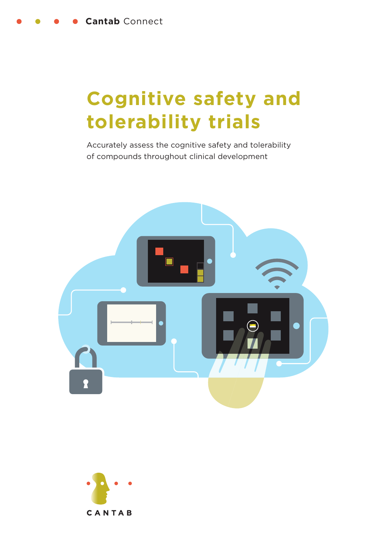# **Cognitive safety and tolerability trials**

Accurately assess the cognitive safety and tolerability of compounds throughout clinical development



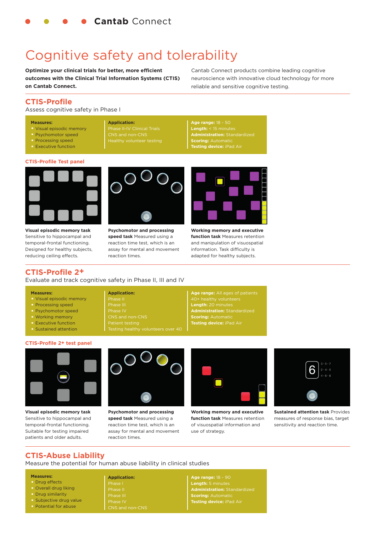## Cognitive safety and tolerability

**Application:**

Phase II-IV Clinical Trials CNS and non-CNS

**Optimize your clinical trials for better, more efficient outcomes with the Clinical Trial Information Systems (CTIS) on Cantab Connect.**

Cantab Connect products combine leading cognitive neuroscience with innovative cloud technology for more reliable and sensitive cognitive testing.

#### **CTIS-Profi le**

Assess cognitive safety in Phase I

#### **Measures:**

- Visual episodic memory
- Psychomotor speed
- Processing speed
- Executive function

#### **CTIS-Profile Test panel**



**Visual episodic memory task**  Sensitive to hippocampal and temporal-frontal functioning. Designed for healthy subjects, reducing ceiling effects.

**Psychomotor and processing speed task** Measured using a reaction time test, which is an assay for mental and movement reaction times.



**Age range:** 18 - 50 **Length:** < 15 minutes **Administration:** Standardized

**Scoring:** Automatic **Testing device:** iPad Air

**Working memory and executive function task** Measures retention and manipulation of visuospatial information. Task difficulty is adapted for healthy subjects.

**Age range:** All ages of patients

**Length:** 20 minutes **Administration:** Standardized

**Scoring:** Automatic **Testing device:** iPad Air

#### **CTIS-Profile 2<sup>+</sup>**

Evaluate and track cognitive safety in Phase II, III and IV

**Application:** ase II Phase III

#### **Measures:**

- Visual episodic memory
- Processing speed
- Psychomotor speed
- Working memory
- Executive function
- Sustained attention





**Visual episodic memory task** Sensitive to hippocampal and temporal-frontal functioning. Suitable for testing impaired patients and older adults.



**Psychomotor and processing speed task** Measured using a reaction time test, which is an assay for mental and movement reaction times.



**Working memory and executive function task** Measures retention of visuospatial information and use of strategy.



**Sustained attention task** Provides measures of response bias, target sensitivity and reaction time.

#### **CTIS-Abuse Liability**

Measure the potential for human abuse liability in clinical studies

#### **Measures:**

- Drug effects
- Overall drug liking
- Drug similarity
- Subjective drug value
- Potential for abuse

**Application:** Phase IV

#### **Age range:** 18 - 90 **Length:** 5 minutes **Administration:** Standardized **Scoring:** Automatic **Testing device:** iPad Air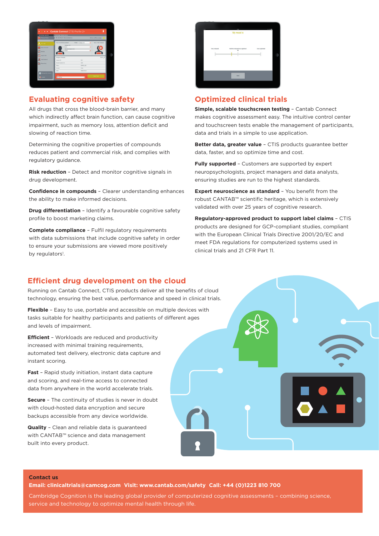| Cambridge Cognition<br>Change Study                                                | Cambridge Hesting Centre<br>101 (Profile 2+ Demonstration)                                                         |                     | Online (offline ready)                           |
|------------------------------------------------------------------------------------|--------------------------------------------------------------------------------------------------------------------|---------------------|--------------------------------------------------|
| <b>A</b> Ran Test<br>Open Queries<br>$\sqrt{\frac{1}{2}}$ Heures<br><b>CANSTON</b> | Test an existing Subject<br>Subject ID<br>loon<br><b>Bandweighting ID</b><br><b>Your</b><br><b>Subject Details</b> | Shew Att<br>Fiber:  | ٠<br>Test a new Subject<br>ъ<br>÷<br>Edit $\rho$ |
| <b>O</b> Add Subject                                                               | Subject (D)<br>Excelentation Of                                                                                    | cos<br>MAY          |                                                  |
| <b>B</b> Reporting                                                                 | <b>Status</b>                                                                                                      | ENROLLED.           |                                                  |
|                                                                                    | Center<br>Extent                                                                                                   | Malas<br>1968-09-20 |                                                  |
| <b>The Manage My Account</b><br><b>B</b> ussel                                     | Met.<br>Of V2: The                                                                                                 | т                   | <b>Start Sed</b>                                 |

### **Evaluating cognitive safety**

All drugs that cross the blood-brain barrier, and many which indirectly affect brain function, can cause cognitive impairment, such as memory loss, attention deficit and slowing of reaction time.

Determining the cognitive properties of compounds reduces patient and commercial risk, and complies with regulatory guidance.

**Risk reduction** - Detect and monitor cognitive signals in drug development.

**Confidence in compounds** – Clearer understanding enhances the ability to make informed decisions.

**Drug differentiation** – Identify a favourable cognitive safety profile to boost marketing claims.

**Complete compliance** – Fulfil regulatory requirements with data submissions that include cognitive safety in order to ensure your submissions are viewed more positively by regulators<sup>1</sup>.

|              | My mood is                   |               |
|--------------|------------------------------|---------------|
| Very relaxed | Neither relaxed nor agitated | Very agitated |
|              |                              |               |
|              | Next                         |               |

## **Optimized clinical trials**

**Simple, scalable touchscreen testing** – Cantab Connect makes cognitive assessment easy. The intuitive control center and touchscreen tests enable the management of participants, data and trials in a simple to use application.

**Better data, greater value** – CTIS products guarantee better data, faster, and so optimize time and cost.

**Fully supported** – Customers are supported by expert neuropsychologists, project managers and data analysts, ensuring studies are run to the highest standards.

**Expert neuroscience as standard** - You benefit from the robust CANTAB™ scientific heritage, which is extensively validated with over 25 years of cognitive research.

**Regulatory-approved product to support label claims** – CTIS products are designed for GCP-compliant studies, compliant with the European Clinical Trials Directive 2001/20/EC and meet FDA regulations for computerized systems used in clinical trials and 21 CFR Part 11.

#### **Efficient drug development on the cloud**

Running on Cantab Connect, CTIS products deliver all the benefits of cloud technology, ensuring the best value, performance and speed in clinical trials.

**Flexible** – Easy to use, portable and accessible on multiple devices with tasks suitable for healthy participants and patients of different ages and levels of impairment.

**Efficient** – Workloads are reduced and productivity increased with minimal training requirements, automated test delivery, electronic data capture and instant scoring.

**Fast** – Rapid study initiation, instant data capture and scoring, and real-time access to connected data from anywhere in the world accelerate trials.

**Secure** – The continuity of studies is never in doubt with cloud-hosted data encryption and secure backups accessible from any device worldwide.

**Quality** – Clean and reliable data is guaranteed with CANTAB™ science and data management built into every product.



#### **Contact us**

**Email: clinicaltrials@camcog.com Visit: www.cantab.com/safety Call: +44 (0)1223 810 700**

Cambridge Cognition is the leading global provider of computerized cognitive assessments – combining science, service and technology to optimize mental health through life.